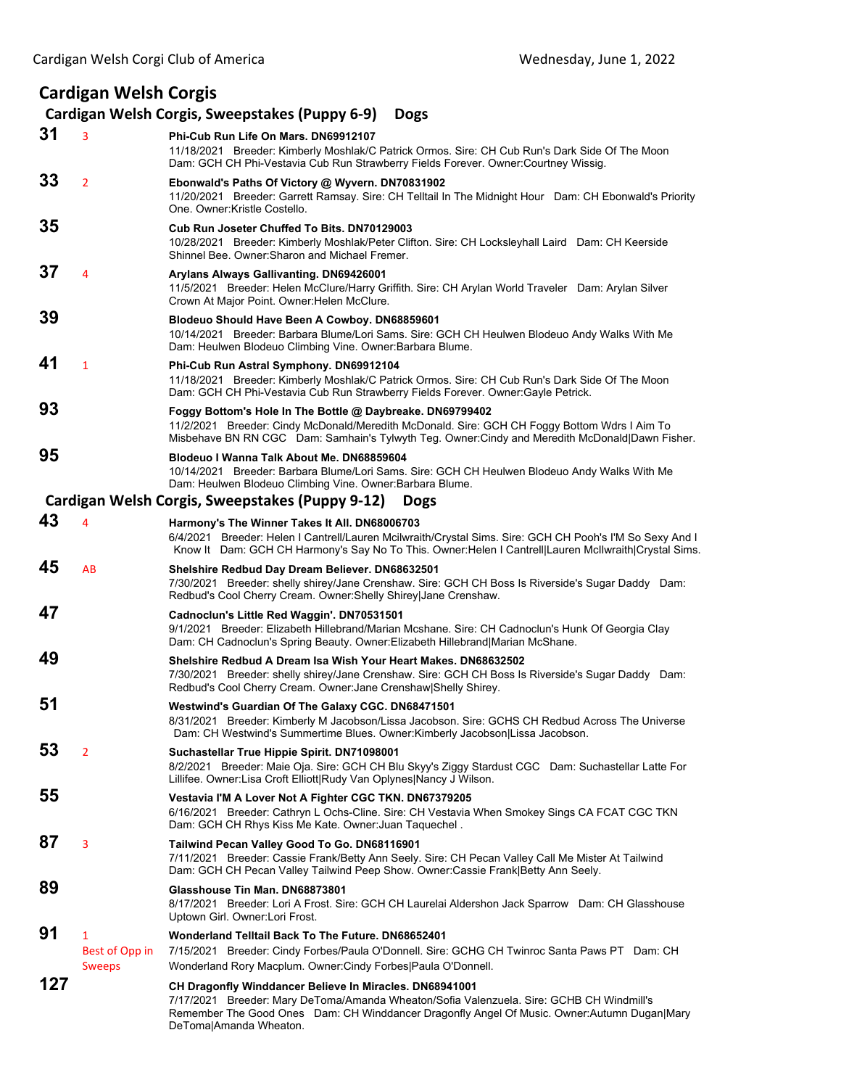## **Cardigan Welsh Corgis**

## **Cardigan Welsh Corgis, Sweepstakes (Puppy 6‐9) Dogs**

| 31  | 3              | Phi-Cub Run Life On Mars. DN69912107<br>11/18/2021 Breeder: Kimberly Moshlak/C Patrick Ormos. Sire: CH Cub Run's Dark Side Of The Moon<br>Dam: GCH CH Phi-Vestavia Cub Run Strawberry Fields Forever. Owner:Courtney Wissig.                                                  |
|-----|----------------|-------------------------------------------------------------------------------------------------------------------------------------------------------------------------------------------------------------------------------------------------------------------------------|
| 33  | $\overline{2}$ | Ebonwald's Paths Of Victory @ Wyvern. DN70831902<br>11/20/2021 Breeder: Garrett Ramsay. Sire: CH Telltail In The Midnight Hour Dam: CH Ebonwald's Priority<br>One. Owner: Kristle Costello.                                                                                   |
| 35  |                | Cub Run Joseter Chuffed To Bits, DN70129003<br>10/28/2021 Breeder: Kimberly Moshlak/Peter Clifton. Sire: CH Locksleyhall Laird Dam: CH Keerside<br>Shinnel Bee, Owner: Sharon and Michael Fremer.                                                                             |
| 37  | 4              | Arylans Always Gallivanting. DN69426001<br>11/5/2021 Breeder: Helen McClure/Harry Griffith. Sire: CH Arylan World Traveler Dam: Arylan Silver<br>Crown At Major Point. Owner: Helen McClure.                                                                                  |
| 39  |                | Blodeuo Should Have Been A Cowboy. DN68859601<br>10/14/2021 Breeder: Barbara Blume/Lori Sams. Sire: GCH CH Heulwen Blodeuo Andy Walks With Me<br>Dam: Heulwen Blodeuo Climbing Vine. Owner: Barbara Blume.                                                                    |
| 41  | $\mathbf{1}$   | Phi-Cub Run Astral Symphony. DN69912104<br>11/18/2021 Breeder: Kimberly Moshlak/C Patrick Ormos. Sire: CH Cub Run's Dark Side Of The Moon<br>Dam: GCH CH Phi-Vestavia Cub Run Strawberry Fields Forever. Owner: Gayle Petrick.                                                |
| 93  |                | Foggy Bottom's Hole In The Bottle @ Daybreake. DN69799402<br>11/2/2021 Breeder: Cindy McDonald/Meredith McDonald. Sire: GCH CH Foggy Bottom Wdrs I Aim To<br>Misbehave BN RN CGC Dam: Samhain's Tylwyth Teg. Owner:Cindy and Meredith McDonald Dawn Fisher.                   |
| 95  |                | Blodeuo I Wanna Talk About Me. DN68859604<br>10/14/2021 Breeder: Barbara Blume/Lori Sams. Sire: GCH CH Heulwen Blodeuo Andy Walks With Me<br>Dam: Heulwen Blodeuo Climbing Vine. Owner: Barbara Blume.                                                                        |
|     |                | Cardigan Welsh Corgis, Sweepstakes (Puppy 9-12)<br><b>Dogs</b>                                                                                                                                                                                                                |
| 43  | 4              | Harmony's The Winner Takes It All. DN68006703<br>6/4/2021 Breeder: Helen I Cantrell/Lauren Mcilwraith/Crystal Sims. Sire: GCH CH Pooh's I'M So Sexy And I<br>Know It Dam: GCH CH Harmony's Say No To This. Owner: Helen I Cantrell Lauren McIlwraith Crystal Sims.            |
| 45  | AB             | Shelshire Redbud Day Dream Believer. DN68632501<br>7/30/2021 Breeder: shelly shirey/Jane Crenshaw. Sire: GCH CH Boss Is Riverside's Sugar Daddy Dam:<br>Redbud's Cool Cherry Cream. Owner: Shelly Shirey Jane Crenshaw.                                                       |
| 47  |                | Cadnoclun's Little Red Waggin'. DN70531501<br>9/1/2021 Breeder: Elizabeth Hillebrand/Marian Mcshane. Sire: CH Cadnoclun's Hunk Of Georgia Clay<br>Dam: CH Cadnoclun's Spring Beauty. Owner: Elizabeth Hillebrand Marian McShane.                                              |
| 49  |                | Shelshire Redbud A Dream Isa Wish Your Heart Makes. DN68632502<br>7/30/2021 Breeder: shelly shirey/Jane Crenshaw. Sire: GCH CH Boss Is Riverside's Sugar Daddy Dam:<br>Redbud's Cool Cherry Cream. Owner: Jane Crenshaw Shelly Shirey.                                        |
| 51  |                | Westwind's Guardian Of The Galaxy CGC. DN68471501<br>8/31/2021 Breeder: Kimberly M Jacobson/Lissa Jacobson. Sire: GCHS CH Redbud Across The Universe<br>Dam: CH Westwind's Summertime Blues. Owner:Kimberly Jacobson Lissa Jacobson.                                          |
| 53  | $\overline{2}$ | Suchastellar True Hippie Spirit. DN71098001<br>8/2/2021 Breeder: Maie Oja. Sire: GCH CH Blu Skyy's Ziggy Stardust CGC Dam: Suchastellar Latte For<br>Lillifee. Owner:Lisa Croft Elliott Rudy Van Oplynes Nancy J Wilson.                                                      |
| 55  |                | Vestavia I'M A Lover Not A Fighter CGC TKN. DN67379205<br>6/16/2021 Breeder: Cathryn L Ochs-Cline. Sire: CH Vestavia When Smokey Sings CA FCAT CGC TKN<br>Dam: GCH CH Rhys Kiss Me Kate. Owner: Juan Taquechel.                                                               |
| 87  | 3              | Tailwind Pecan Valley Good To Go. DN68116901<br>7/11/2021 Breeder: Cassie Frank/Betty Ann Seely. Sire: CH Pecan Valley Call Me Mister At Tailwind<br>Dam: GCH CH Pecan Valley Tailwind Peep Show. Owner: Cassie Frank Betty Ann Seely.                                        |
| 89  |                | Glasshouse Tin Man. DN68873801<br>8/17/2021 Breeder: Lori A Frost. Sire: GCH CH Laurelai Aldershon Jack Sparrow Dam: CH Glasshouse<br>Uptown Girl. Owner: Lori Frost.                                                                                                         |
| 91  | $\mathbf{1}$   | Wonderland Telltail Back To The Future. DN68652401                                                                                                                                                                                                                            |
|     | Best of Opp in | 7/15/2021 Breeder: Cindy Forbes/Paula O'Donnell. Sire: GCHG CH Twinroc Santa Paws PT Dam: CH                                                                                                                                                                                  |
|     | <b>Sweeps</b>  | Wonderland Rory Macplum. Owner: Cindy Forbes Paula O'Donnell.                                                                                                                                                                                                                 |
| 127 |                | CH Dragonfly Winddancer Believe In Miracles. DN68941001<br>7/17/2021 Breeder: Mary DeToma/Amanda Wheaton/Sofia Valenzuela. Sire: GCHB CH Windmill's<br>Remember The Good Ones Dam: CH Winddancer Dragonfly Angel Of Music. Owner: Autumn Dugan Mary<br>DeToma Amanda Wheaton. |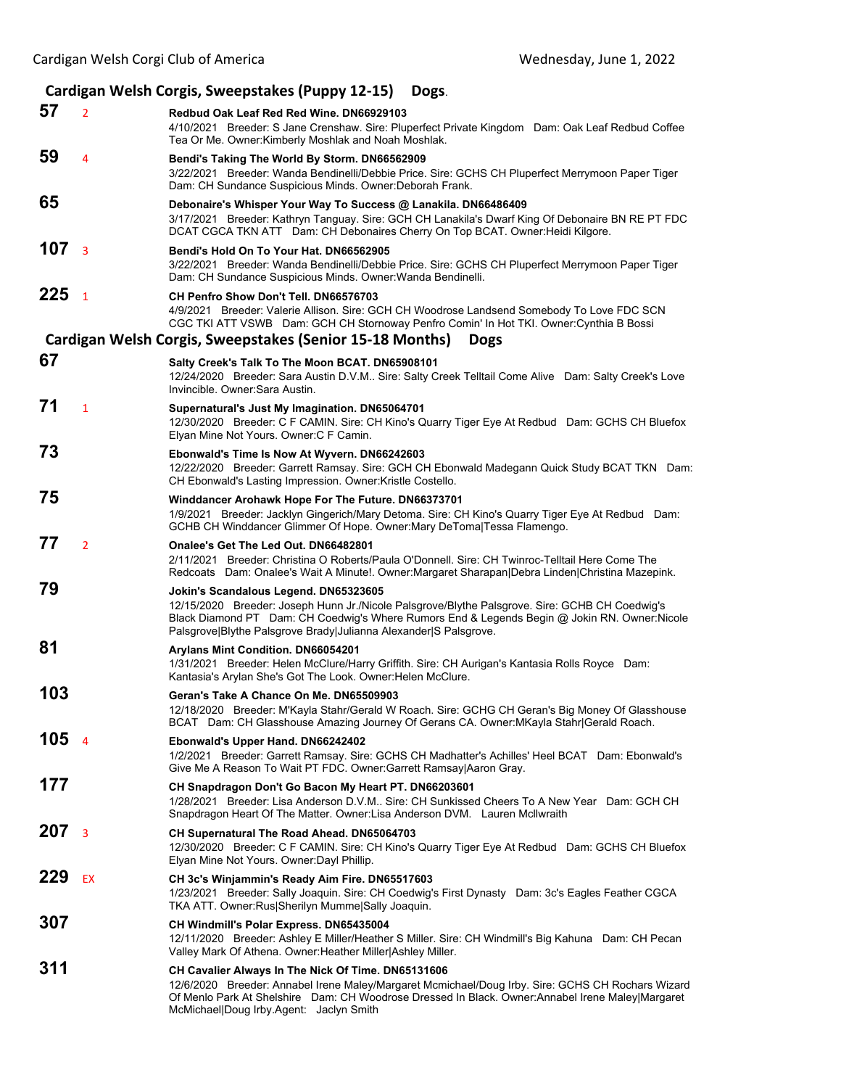| Cardigan Welsh Corgis, Sweepstakes (Puppy 12-15)<br>Dogs. |                |                                                                                                                                                                                                                                                                                                              |  |  |
|-----------------------------------------------------------|----------------|--------------------------------------------------------------------------------------------------------------------------------------------------------------------------------------------------------------------------------------------------------------------------------------------------------------|--|--|
| 57                                                        | $\overline{2}$ | Redbud Oak Leaf Red Red Wine. DN66929103<br>4/10/2021 Breeder: S Jane Crenshaw. Sire: Pluperfect Private Kingdom Dam: Oak Leaf Redbud Coffee<br>Tea Or Me. Owner: Kimberly Moshlak and Noah Moshlak.                                                                                                         |  |  |
| 59                                                        | 4              | Bendi's Taking The World By Storm. DN66562909<br>3/22/2021 Breeder: Wanda Bendinelli/Debbie Price. Sire: GCHS CH Pluperfect Merrymoon Paper Tiger<br>Dam: CH Sundance Suspicious Minds. Owner: Deborah Frank.                                                                                                |  |  |
| 65                                                        |                | Debonaire's Whisper Your Way To Success @ Lanakila. DN66486409<br>3/17/2021 Breeder: Kathryn Tanguay. Sire: GCH CH Lanakila's Dwarf King Of Debonaire BN RE PT FDC<br>DCAT CGCA TKN ATT Dam: CH Debonaires Cherry On Top BCAT. Owner: Heidi Kilgore.                                                         |  |  |
| 107                                                       | $\overline{3}$ | Bendi's Hold On To Your Hat, DN66562905<br>3/22/2021 Breeder: Wanda Bendinelli/Debbie Price. Sire: GCHS CH Pluperfect Merrymoon Paper Tiger<br>Dam: CH Sundance Suspicious Minds. Owner: Wanda Bendinelli.                                                                                                   |  |  |
| 225                                                       | $\overline{1}$ | CH Penfro Show Don't Tell. DN66576703<br>4/9/2021 Breeder: Valerie Allison. Sire: GCH CH Woodrose Landsend Somebody To Love FDC SCN<br>CGC TKI ATT VSWB Dam: GCH CH Stornoway Penfro Comin' In Hot TKI. Owner:Cynthia B Bossi                                                                                |  |  |
|                                                           |                | Cardigan Welsh Corgis, Sweepstakes (Senior 15-18 Months)<br><b>Dogs</b>                                                                                                                                                                                                                                      |  |  |
| 67                                                        |                | Salty Creek's Talk To The Moon BCAT. DN65908101<br>12/24/2020 Breeder: Sara Austin D.V.M Sire: Salty Creek Telltail Come Alive Dam: Salty Creek's Love<br>Invincible, Owner: Sara Austin.                                                                                                                    |  |  |
| 71                                                        | $\mathbf{1}$   | Supernatural's Just My Imagination. DN65064701<br>12/30/2020 Breeder: C F CAMIN. Sire: CH Kino's Quarry Tiger Eye At Redbud Dam: GCHS CH Bluefox<br>Elyan Mine Not Yours. Owner: C F Camin.                                                                                                                  |  |  |
| 73                                                        |                | Ebonwald's Time Is Now At Wyvern. DN66242603<br>12/22/2020 Breeder: Garrett Ramsay. Sire: GCH CH Ebonwald Madegann Quick Study BCAT TKN Dam:<br>CH Ebonwald's Lasting Impression. Owner: Kristle Costello.                                                                                                   |  |  |
| 75                                                        |                | Winddancer Arohawk Hope For The Future. DN66373701<br>1/9/2021 Breeder: Jacklyn Gingerich/Mary Detoma. Sire: CH Kino's Quarry Tiger Eye At Redbud Dam:<br>GCHB CH Winddancer Glimmer Of Hope. Owner: Mary DeToma Tessa Flamengo.                                                                             |  |  |
| 77                                                        | $\overline{2}$ | Onalee's Get The Led Out, DN66482801<br>2/11/2021 Breeder: Christina O Roberts/Paula O'Donnell. Sire: CH Twinroc-Telltail Here Come The<br>Redcoats Dam: Onalee's Wait A Minute!. Owner: Margaret Sharapan Debra Linden Christina Mazepink.                                                                  |  |  |
| 79                                                        |                | Jokin's Scandalous Legend. DN65323605<br>12/15/2020 Breeder: Joseph Hunn Jr./Nicole Palsgrove/Blythe Palsgrove. Sire: GCHB CH Coedwig's<br>Black Diamond PT Dam: CH Coedwig's Where Rumors End & Legends Begin @ Jokin RN. Owner: Nicole<br>Palsgrove Blythe Palsgrove Brady Julianna Alexander S Palsgrove. |  |  |
| 81                                                        |                | Arylans Mint Condition. DN66054201<br>1/31/2021 Breeder: Helen McClure/Harry Griffith. Sire: CH Aurigan's Kantasia Rolls Royce Dam:<br>Kantasia's Arylan She's Got The Look. Owner: Helen McClure.                                                                                                           |  |  |
| 103                                                       |                | Geran's Take A Chance On Me. DN65509903<br>12/18/2020 Breeder: M'Kayla Stahr/Gerald W Roach. Sire: GCHG CH Geran's Big Money Of Glasshouse<br>BCAT Dam: CH Glasshouse Amazing Journey Of Gerans CA. Owner: MKayla Stahr Gerald Roach.                                                                        |  |  |
| 105 <sub>4</sub>                                          |                | Ebonwald's Upper Hand. DN66242402<br>1/2/2021 Breeder: Garrett Ramsay. Sire: GCHS CH Madhatter's Achilles' Heel BCAT Dam: Ebonwald's<br>Give Me A Reason To Wait PT FDC. Owner: Garrett Ramsay Aaron Gray.                                                                                                   |  |  |
| 177                                                       |                | CH Snapdragon Don't Go Bacon My Heart PT. DN66203601<br>1/28/2021 Breeder: Lisa Anderson D.V.M Sire: CH Sunkissed Cheers To A New Year Dam: GCH CH<br>Snapdragon Heart Of The Matter. Owner:Lisa Anderson DVM. Lauren McIlwraith                                                                             |  |  |
| 207                                                       | 3              | CH Supernatural The Road Ahead. DN65064703<br>12/30/2020 Breeder: C F CAMIN. Sire: CH Kino's Quarry Tiger Eye At Redbud Dam: GCHS CH Bluefox<br>Elyan Mine Not Yours. Owner: Dayl Phillip.                                                                                                                   |  |  |
| 229                                                       | <b>EX</b>      | CH 3c's Winjammin's Ready Aim Fire. DN65517603<br>1/23/2021 Breeder: Sally Joaquin. Sire: CH Coedwig's First Dynasty Dam: 3c's Eagles Feather CGCA<br>TKA ATT. Owner:Rus Sherilyn Mumme Sally Joaquin.                                                                                                       |  |  |
| 307                                                       |                | CH Windmill's Polar Express. DN65435004<br>12/11/2020 Breeder: Ashley E Miller/Heather S Miller. Sire: CH Windmill's Big Kahuna Dam: CH Pecan<br>Valley Mark Of Athena. Owner: Heather Miller Ashley Miller.                                                                                                 |  |  |
| 311                                                       |                | CH Cavalier Always In The Nick Of Time. DN65131606<br>12/6/2020 Breeder: Annabel Irene Maley/Margaret Mcmichael/Doug Irby. Sire: GCHS CH Rochars Wizard<br>Of Menlo Park At Shelshire Dam: CH Woodrose Dressed In Black. Owner:Annabel Irene Maley Margaret<br>McMichael Doug Irby Agent: Jaclyn Smith       |  |  |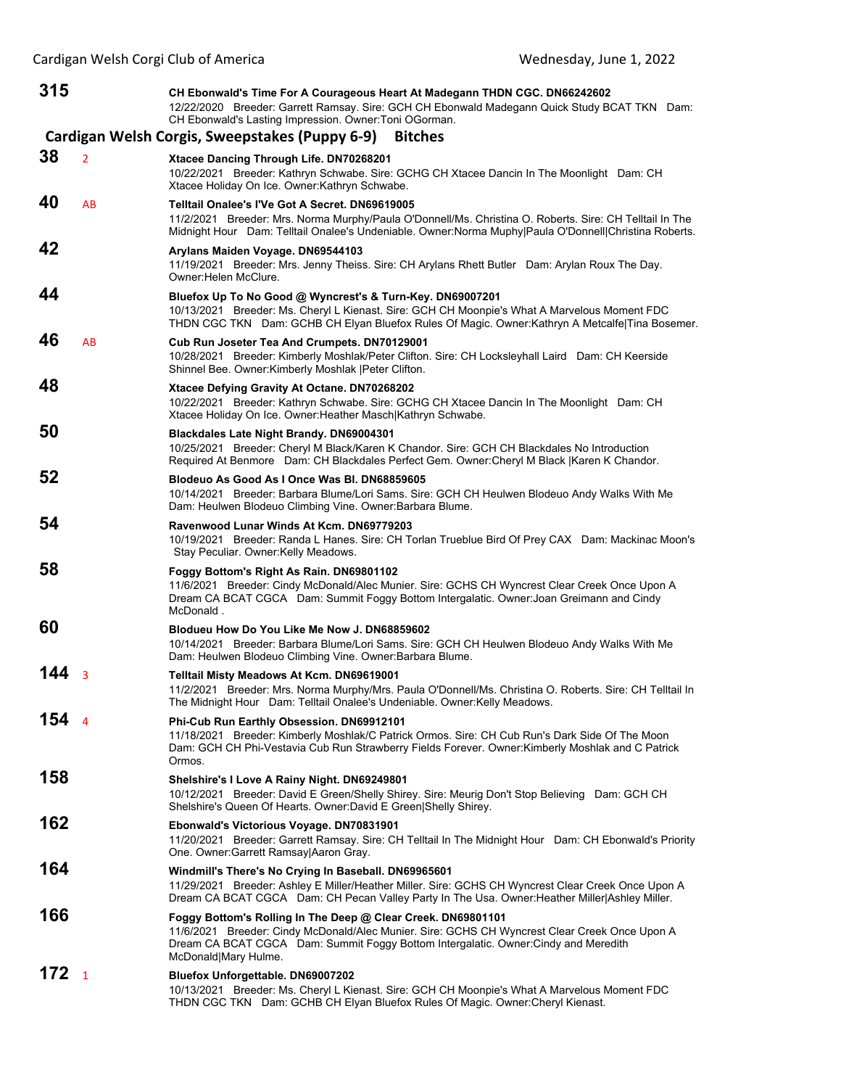| 315 |                | CH Ebonwald's Time For A Courageous Heart At Madegann THDN CGC. DN66242602<br>12/22/2020 Breeder: Garrett Ramsay. Sire: GCH CH Ebonwald Madegann Quick Study BCAT TKN Dam:<br>CH Ebonwald's Lasting Impression. Owner: Toni OGorman.                                         |
|-----|----------------|------------------------------------------------------------------------------------------------------------------------------------------------------------------------------------------------------------------------------------------------------------------------------|
|     |                | Cardigan Welsh Corgis, Sweepstakes (Puppy 6-9)<br><b>Bitches</b>                                                                                                                                                                                                             |
| 38  | $\overline{2}$ | Xtacee Dancing Through Life. DN70268201<br>10/22/2021 Breeder: Kathryn Schwabe. Sire: GCHG CH Xtacee Dancin In The Moonlight Dam: CH<br>Xtacee Holiday On Ice. Owner: Kathryn Schwabe.                                                                                       |
| 40  | AB             | Telltail Onalee's I'Ve Got A Secret, DN69619005<br>11/2/2021 Breeder: Mrs. Norma Murphy/Paula O'Donnell/Ms. Christina O. Roberts. Sire: CH Telltail In The<br>Midnight Hour Dam: Telltail Onalee's Undeniable. Owner:Norma Muphy Paula O'Donnell Christina Roberts.          |
| 42  |                | Arylans Maiden Voyage. DN69544103<br>11/19/2021 Breeder: Mrs. Jenny Theiss. Sire: CH Arylans Rhett Butler Dam: Arylan Roux The Day.<br>Owner: Helen McClure.                                                                                                                 |
| 44  |                | Bluefox Up To No Good @ Wyncrest's & Turn-Key. DN69007201<br>10/13/2021 Breeder: Ms. Cheryl L Kienast. Sire: GCH CH Moonpie's What A Marvelous Moment FDC<br>THDN CGC TKN Dam: GCHB CH Elyan Bluefox Rules Of Magic. Owner: Kathryn A Metcalfe Tina Bosemer.                 |
| 46  | AB             | Cub Run Joseter Tea And Crumpets. DN70129001<br>10/28/2021 Breeder: Kimberly Moshlak/Peter Clifton. Sire: CH Locksleyhall Laird Dam: CH Keerside<br>Shinnel Bee. Owner: Kimberly Moshlak   Peter Clifton.                                                                    |
| 48  |                | Xtacee Defying Gravity At Octane. DN70268202<br>10/22/2021 Breeder: Kathryn Schwabe. Sire: GCHG CH Xtacee Dancin In The Moonlight Dam: CH<br>Xtacee Holiday On Ice. Owner: Heather Masch Kathryn Schwabe.                                                                    |
| 50  |                | <b>Blackdales Late Night Brandy. DN69004301</b><br>10/25/2021 Breeder: Cheryl M Black/Karen K Chandor. Sire: GCH CH Blackdales No Introduction<br>Required At Benmore Dam: CH Blackdales Perfect Gem. Owner: Cheryl M Black   Karen K Chandor.                               |
| 52  |                | Blodeuo As Good As I Once Was BI. DN68859605<br>10/14/2021 Breeder: Barbara Blume/Lori Sams. Sire: GCH CH Heulwen Blodeuo Andy Walks With Me<br>Dam: Heulwen Blodeuo Climbing Vine. Owner: Barbara Blume.                                                                    |
| 54  |                | Ravenwood Lunar Winds At Kcm. DN69779203<br>10/19/2021 Breeder: Randa L Hanes. Sire: CH Torlan Trueblue Bird Of Prey CAX Dam: Mackinac Moon's<br>Stay Peculiar. Owner: Kelly Meadows.                                                                                        |
| 58  |                | Foggy Bottom's Right As Rain. DN69801102<br>11/6/2021 Breeder: Cindy McDonald/Alec Munier. Sire: GCHS CH Wyncrest Clear Creek Once Upon A<br>Dream CA BCAT CGCA Dam: Summit Foggy Bottom Intergalatic. Owner: Joan Greimann and Cindy<br>McDonald.                           |
| 60  |                | Blodueu How Do You Like Me Now J. DN68859602<br>10/14/2021 Breeder: Barbara Blume/Lori Sams. Sire: GCH CH Heulwen Blodeuo Andy Walks With Me<br>Dam: Heulwen Blodeuo Climbing Vine. Owner: Barbara Blume.                                                                    |
| 144 | 3              | <b>Telltail Misty Meadows At Kcm. DN69619001</b><br>11/2/2021 Breeder: Mrs. Norma Murphy/Mrs. Paula O'Donnell/Ms. Christina O. Roberts. Sire: CH Telltail In<br>The Midnight Hour Dam: Telltail Onalee's Undeniable. Owner: Kelly Meadows.                                   |
| 154 | $\overline{4}$ | Phi-Cub Run Earthly Obsession. DN69912101<br>11/18/2021 Breeder: Kimberly Moshlak/C Patrick Ormos. Sire: CH Cub Run's Dark Side Of The Moon<br>Dam: GCH CH Phi-Vestavia Cub Run Strawberry Fields Forever. Owner: Kimberly Moshlak and C Patrick<br>Ormos.                   |
| 158 |                | Shelshire's I Love A Rainy Night. DN69249801<br>10/12/2021 Breeder: David E Green/Shelly Shirey. Sire: Meurig Don't Stop Believing Dam: GCH CH<br>Shelshire's Queen Of Hearts. Owner: David E Green Shelly Shirey.                                                           |
| 162 |                | Ebonwald's Victorious Voyage. DN70831901<br>11/20/2021 Breeder: Garrett Ramsay. Sire: CH Telltail In The Midnight Hour Dam: CH Ebonwald's Priority<br>One. Owner: Garrett Ramsay Aaron Gray.                                                                                 |
| 164 |                | Windmill's There's No Crying In Baseball. DN69965601<br>11/29/2021 Breeder: Ashley E Miller/Heather Miller. Sire: GCHS CH Wyncrest Clear Creek Once Upon A<br>Dream CA BCAT CGCA Dam: CH Pecan Valley Party In The Usa. Owner: Heather Miller Ashley Miller.                 |
| 166 |                | Foggy Bottom's Rolling In The Deep @ Clear Creek. DN69801101<br>11/6/2021 Breeder: Cindy McDonald/Alec Munier. Sire: GCHS CH Wyncrest Clear Creek Once Upon A<br>Dream CA BCAT CGCA Dam: Summit Foggy Bottom Intergalatic. Owner: Cindy and Meredith<br>McDonald Mary Hulme. |
| 172 | $\mathbf{1}$   | Bluefox Unforgettable. DN69007202<br>10/13/2021 Breeder: Ms. Cheryl L Kienast. Sire: GCH CH Moonpie's What A Marvelous Moment FDC<br>THDN CGC TKN Dam: GCHB CH Elyan Bluefox Rules Of Magic. Owner:Cheryl Kienast.                                                           |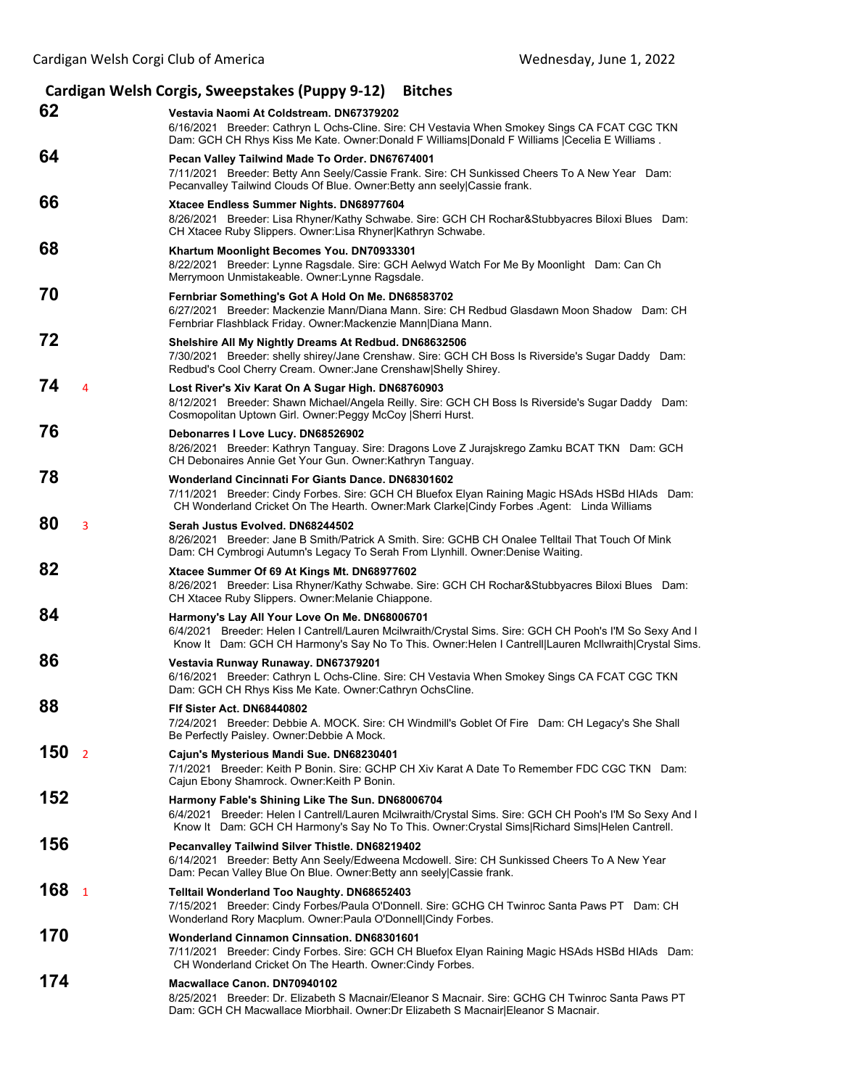| Cardigan Welsh Corgis, Sweepstakes (Puppy 9-12) Bitches |                                                                                                                                                                                                                                                                    |  |  |  |
|---------------------------------------------------------|--------------------------------------------------------------------------------------------------------------------------------------------------------------------------------------------------------------------------------------------------------------------|--|--|--|
| 62                                                      | Vestavia Naomi At Coldstream, DN67379202<br>6/16/2021 Breeder: Cathryn L Ochs-Cline. Sire: CH Vestavia When Smokey Sings CA FCAT CGC TKN<br>Dam: GCH CH Rhys Kiss Me Kate. Owner:Donald F Williams Donald F Williams  Cecelia E Williams.                          |  |  |  |
| 64                                                      | Pecan Valley Tailwind Made To Order. DN67674001<br>7/11/2021 Breeder: Betty Ann Seely/Cassie Frank. Sire: CH Sunkissed Cheers To A New Year Dam:<br>Pecanvalley Tailwind Clouds Of Blue. Owner: Betty ann seely Cassie frank.                                      |  |  |  |
| 66                                                      | Xtacee Endless Summer Nights. DN68977604<br>8/26/2021 Breeder: Lisa Rhyner/Kathy Schwabe. Sire: GCH CH Rochar&Stubbyacres Biloxi Blues Dam:<br>CH Xtacee Ruby Slippers. Owner:Lisa Rhyner Kathryn Schwabe.                                                         |  |  |  |
| 68                                                      | Khartum Moonlight Becomes You. DN70933301<br>8/22/2021 Breeder: Lynne Ragsdale. Sire: GCH Aelwyd Watch For Me By Moonlight Dam: Can Ch<br>Merrymoon Unmistakeable. Owner: Lynne Ragsdale.                                                                          |  |  |  |
| 70                                                      | Fernbriar Something's Got A Hold On Me. DN68583702<br>6/27/2021 Breeder: Mackenzie Mann/Diana Mann. Sire: CH Redbud Glasdawn Moon Shadow Dam: CH<br>Fernbriar Flashblack Friday. Owner: Mackenzie Mann   Diana Mann.                                               |  |  |  |
| 72                                                      | Shelshire All My Nightly Dreams At Redbud. DN68632506<br>7/30/2021 Breeder: shelly shirey/Jane Crenshaw. Sire: GCH CH Boss Is Riverside's Sugar Daddy Dam:<br>Redbud's Cool Cherry Cream. Owner: Jane Crenshaw Shelly Shirey.                                      |  |  |  |
| 74<br>$\overline{4}$                                    | Lost River's Xiv Karat On A Sugar High. DN68760903<br>8/12/2021 Breeder: Shawn Michael/Angela Reilly. Sire: GCH CH Boss Is Riverside's Sugar Daddy Dam:<br>Cosmopolitan Uptown Girl. Owner: Peggy McCoy   Sherri Hurst.                                            |  |  |  |
| 76                                                      | Debonarres I Love Lucy. DN68526902<br>8/26/2021 Breeder: Kathryn Tanguay. Sire: Dragons Love Z Jurajskrego Zamku BCAT TKN Dam: GCH<br>CH Debonaires Annie Get Your Gun. Owner: Kathryn Tanguay.                                                                    |  |  |  |
| 78                                                      | <b>Wonderland Cincinnati For Giants Dance, DN68301602</b><br>7/11/2021 Breeder: Cindy Forbes. Sire: GCH CH Bluefox Elyan Raining Magic HSAds HSBd HIAds Dam:<br>CH Wonderland Cricket On The Hearth. Owner: Mark Clarke Cindy Forbes . Agent: Linda Williams       |  |  |  |
| 80<br>3                                                 | Serah Justus Evolved, DN68244502<br>8/26/2021 Breeder: Jane B Smith/Patrick A Smith. Sire: GCHB CH Onalee Telltail That Touch Of Mink<br>Dam: CH Cymbrogi Autumn's Legacy To Serah From Llynhill. Owner: Denise Waiting.                                           |  |  |  |
| 82                                                      | Xtacee Summer Of 69 At Kings Mt. DN68977602<br>8/26/2021 Breeder: Lisa Rhyner/Kathy Schwabe. Sire: GCH CH Rochar&Stubbyacres Biloxi Blues Dam:<br>CH Xtacee Ruby Slippers. Owner: Melanie Chiappone.                                                               |  |  |  |
| 84                                                      | Harmony's Lay All Your Love On Me. DN68006701<br>6/4/2021 Breeder: Helen I Cantrell/Lauren Mcilwraith/Crystal Sims. Sire: GCH CH Pooh's I'M So Sexy And I<br>Know It Dam: GCH CH Harmony's Say No To This. Owner: Helen I Cantrell Lauren McIlwraith Crystal Sims. |  |  |  |
| 86                                                      | Vestavia Runway Runaway. DN67379201<br>6/16/2021 Breeder: Cathryn L Ochs-Cline. Sire: CH Vestavia When Smokey Sings CA FCAT CGC TKN<br>Dam: GCH CH Rhys Kiss Me Kate. Owner: Cathryn OchsCline.                                                                    |  |  |  |
| 88                                                      | FIf Sister Act. DN68440802<br>7/24/2021 Breeder: Debbie A. MOCK. Sire: CH Windmill's Goblet Of Fire Dam: CH Legacy's She Shall<br>Be Perfectly Paisley. Owner: Debbie A Mock.                                                                                      |  |  |  |
| 150<br>$\overline{2}$                                   | Cajun's Mysterious Mandi Sue. DN68230401<br>7/1/2021 Breeder: Keith P Bonin, Sire: GCHP CH Xiv Karat A Date To Remember FDC CGC TKN Dam:<br>Cajun Ebony Shamrock. Owner: Keith P Bonin.                                                                            |  |  |  |
| 152                                                     | Harmony Fable's Shining Like The Sun. DN68006704<br>6/4/2021 Breeder: Helen I Cantrell/Lauren Mcilwraith/Crystal Sims. Sire: GCH CH Pooh's I'M So Sexy And I<br>Know It Dam: GCH CH Harmony's Say No To This. Owner: Crystal Sims Richard Sims Helen Cantrell.     |  |  |  |
| 156                                                     | Pecanvalley Tailwind Silver Thistle. DN68219402<br>6/14/2021 Breeder: Betty Ann Seely/Edweena Mcdowell. Sire: CH Sunkissed Cheers To A New Year<br>Dam: Pecan Valley Blue On Blue. Owner: Betty ann seely Cassie frank.                                            |  |  |  |
| 168<br>$\mathbf{1}$                                     | <b>Telltail Wonderland Too Naughty. DN68652403</b><br>7/15/2021 Breeder: Cindy Forbes/Paula O'Donnell. Sire: GCHG CH Twinroc Santa Paws PT Dam: CH<br>Wonderland Rory Macplum. Owner: Paula O'Donnell Cindy Forbes.                                                |  |  |  |
| 170                                                     | Wonderland Cinnamon Cinnsation. DN68301601<br>7/11/2021 Breeder: Cindy Forbes. Sire: GCH CH Bluefox Elyan Raining Magic HSAds HSBd HIAds Dam:<br>CH Wonderland Cricket On The Hearth. Owner: Cindy Forbes.                                                         |  |  |  |
| 174                                                     | Macwallace Canon. DN70940102<br>8/25/2021 Breeder: Dr. Elizabeth S Macnair/Eleanor S Macnair. Sire: GCHG CH Twinroc Santa Paws PT<br>Dam: GCH CH Macwallace Miorbhail. Owner:Dr Elizabeth S Macnair Eleanor S Macnair.                                             |  |  |  |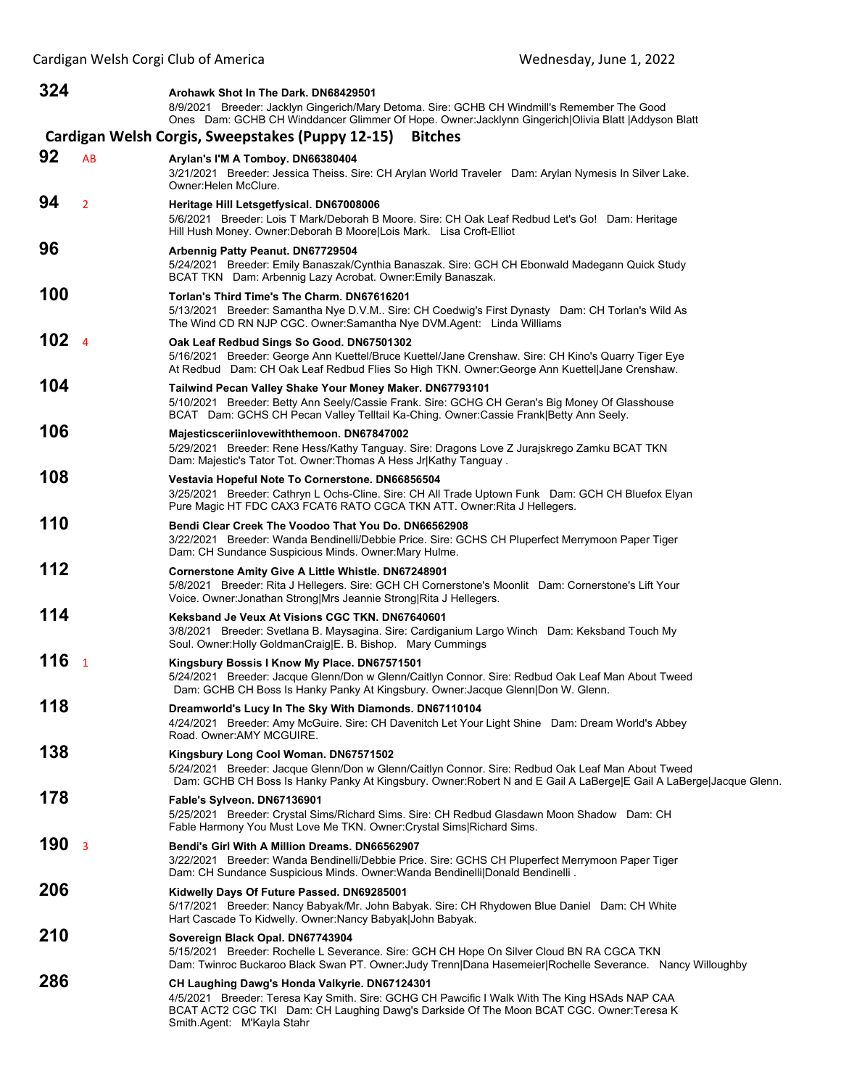| 324              |                | Arohawk Shot In The Dark. DN68429501                                                                                                                                                                                                                                    |
|------------------|----------------|-------------------------------------------------------------------------------------------------------------------------------------------------------------------------------------------------------------------------------------------------------------------------|
|                  |                | 8/9/2021 Breeder: Jacklyn Gingerich/Mary Detoma. Sire: GCHB CH Windmill's Remember The Good<br>Ones Dam: GCHB CH Winddancer Glimmer Of Hope. Owner: Jacklynn Gingerich   Olivia Blatt   Addyson Blatt                                                                   |
|                  |                | Cardigan Welsh Corgis, Sweepstakes (Puppy 12-15)<br><b>Bitches</b>                                                                                                                                                                                                      |
| 92               | AB             | Arylan's I'M A Tomboy. DN66380404<br>3/21/2021 Breeder: Jessica Theiss. Sire: CH Arylan World Traveler Dam: Arylan Nymesis In Silver Lake.<br>Owner: Helen McClure.                                                                                                     |
| 94               | $\overline{2}$ | Heritage Hill Letsgetfysical. DN67008006<br>5/6/2021 Breeder: Lois T Mark/Deborah B Moore. Sire: CH Oak Leaf Redbud Let's Go! Dam: Heritage<br>Hill Hush Money. Owner:Deborah B Moore Lois Mark. Lisa Croft-Elliot                                                      |
| 96               |                | Arbennig Patty Peanut. DN67729504<br>5/24/2021 Breeder: Emily Banaszak/Cynthia Banaszak. Sire: GCH CH Ebonwald Madegann Quick Study<br>BCAT TKN Dam: Arbennig Lazy Acrobat. Owner: Emily Banaszak.                                                                      |
| 100              |                | Torlan's Third Time's The Charm. DN67616201<br>5/13/2021 Breeder: Samantha Nye D.V.M Sire: CH Coedwig's First Dynasty Dam: CH Torlan's Wild As<br>The Wind CD RN NJP CGC. Owner: Samantha Nye DVM. Agent: Linda Williams                                                |
| 102 <sub>4</sub> |                | Oak Leaf Redbud Sings So Good. DN67501302<br>5/16/2021 Breeder: George Ann Kuettel/Bruce Kuettel/Jane Crenshaw. Sire: CH Kino's Quarry Tiger Eye<br>At Redbud Dam: CH Oak Leaf Redbud Flies So High TKN. Owner: George Ann Kuettel Jane Crenshaw.                       |
| 104              |                | Tailwind Pecan Valley Shake Your Money Maker. DN67793101<br>5/10/2021 Breeder: Betty Ann Seely/Cassie Frank. Sire: GCHG CH Geran's Big Money Of Glasshouse<br>BCAT Dam: GCHS CH Pecan Valley Telltail Ka-Ching. Owner:Cassie Frank Betty Ann Seely.                     |
| 106              |                | Majesticsceriinlovewiththemoon. DN67847002<br>5/29/2021 Breeder: Rene Hess/Kathy Tanguay. Sire: Dragons Love Z Jurajskrego Zamku BCAT TKN<br>Dam: Majestic's Tator Tot. Owner: Thomas A Hess Jr Kathy Tanguay.                                                          |
| 108              |                | Vestavia Hopeful Note To Cornerstone. DN66856504<br>3/25/2021 Breeder: Cathryn L Ochs-Cline. Sire: CH All Trade Uptown Funk Dam: GCH CH Bluefox Elyan<br>Pure Magic HT FDC CAX3 FCAT6 RATO CGCA TKN ATT. Owner: Rita J Hellegers.                                       |
| 110              |                | Bendi Clear Creek The Voodoo That You Do. DN66562908<br>3/22/2021 Breeder: Wanda Bendinelli/Debbie Price. Sire: GCHS CH Pluperfect Merrymoon Paper Tiger<br>Dam: CH Sundance Suspicious Minds. Owner: Mary Hulme.                                                       |
| 112              |                | Cornerstone Amity Give A Little Whistle. DN67248901<br>5/8/2021 Breeder: Rita J Hellegers. Sire: GCH CH Cornerstone's Moonlit Dam: Cornerstone's Lift Your<br>Voice. Owner: Jonathan Strong Mrs Jeannie Strong Rita J Hellegers.                                        |
| 114              |                | Keksband Je Veux At Visions CGC TKN, DN67640601<br>3/8/2021 Breeder: Svetlana B. Maysagina. Sire: Cardiganium Largo Winch Dam: Keksband Touch My<br>Soul. Owner: Holly GoldmanCraig E. B. Bishop. Mary Cummings                                                         |
| 116 <sub>1</sub> |                | Kingsbury Bossis I Know My Place. DN67571501<br>5/24/2021 Breeder: Jacque Glenn/Don w Glenn/Caitlyn Connor. Sire: Redbud Oak Leaf Man About Tweed<br>Dam: GCHB CH Boss Is Hanky Panky At Kingsbury. Owner: Jacque Glenn   Don W. Glenn.                                 |
| 118              |                | Dreamworld's Lucy In The Sky With Diamonds. DN67110104<br>4/24/2021 Breeder: Amy McGuire. Sire: CH Davenitch Let Your Light Shine Dam: Dream World's Abbey<br>Road. Owner: AMY MCGUIRE.                                                                                 |
| 138              |                | Kingsbury Long Cool Woman. DN67571502<br>5/24/2021 Breeder: Jacque Glenn/Don w Glenn/Caitlyn Connor. Sire: Redbud Oak Leaf Man About Tweed<br>Dam: GCHB CH Boss Is Hanky Panky At Kingsbury. Owner: Robert N and E Gail A LaBerge E Gail A LaBerge Jacque Glenn.        |
| 178              |                | Fable's Sylveon. DN67136901<br>5/25/2021 Breeder: Crystal Sims/Richard Sims. Sire: CH Redbud Glasdawn Moon Shadow Dam: CH<br>Fable Harmony You Must Love Me TKN. Owner: Crystal Sims Richard Sims.                                                                      |
| 190 <sub>3</sub> |                | Bendi's Girl With A Million Dreams, DN66562907<br>3/22/2021 Breeder: Wanda Bendinelli/Debbie Price. Sire: GCHS CH Pluperfect Merrymoon Paper Tiger<br>Dam: CH Sundance Suspicious Minds. Owner: Wanda Bendinelli   Donald Bendinelli.                                   |
| 206              |                | Kidwelly Days Of Future Passed. DN69285001<br>5/17/2021 Breeder: Nancy Babyak/Mr. John Babyak. Sire: CH Rhydowen Blue Daniel Dam: CH White<br>Hart Cascade To Kidwelly. Owner: Nancy Babyak John Babyak.                                                                |
| 210              |                | Sovereign Black Opal. DN67743904<br>5/15/2021 Breeder: Rochelle L Severance. Sire: GCH CH Hope On Silver Cloud BN RA CGCA TKN<br>Dam: Twinroc Buckaroo Black Swan PT. Owner: Judy Trenn Dana Hasemeier Rochelle Severance. Nancy Willoughby                             |
| 286              |                | CH Laughing Dawg's Honda Valkyrie. DN67124301<br>4/5/2021 Breeder: Teresa Kay Smith. Sire: GCHG CH Pawcific I Walk With The King HSAds NAP CAA<br>BCAT ACT2 CGC TKI Dam: CH Laughing Dawg's Darkside Of The Moon BCAT CGC. Owner:Teresa K<br>Smith Agent: M'Kayla Stahr |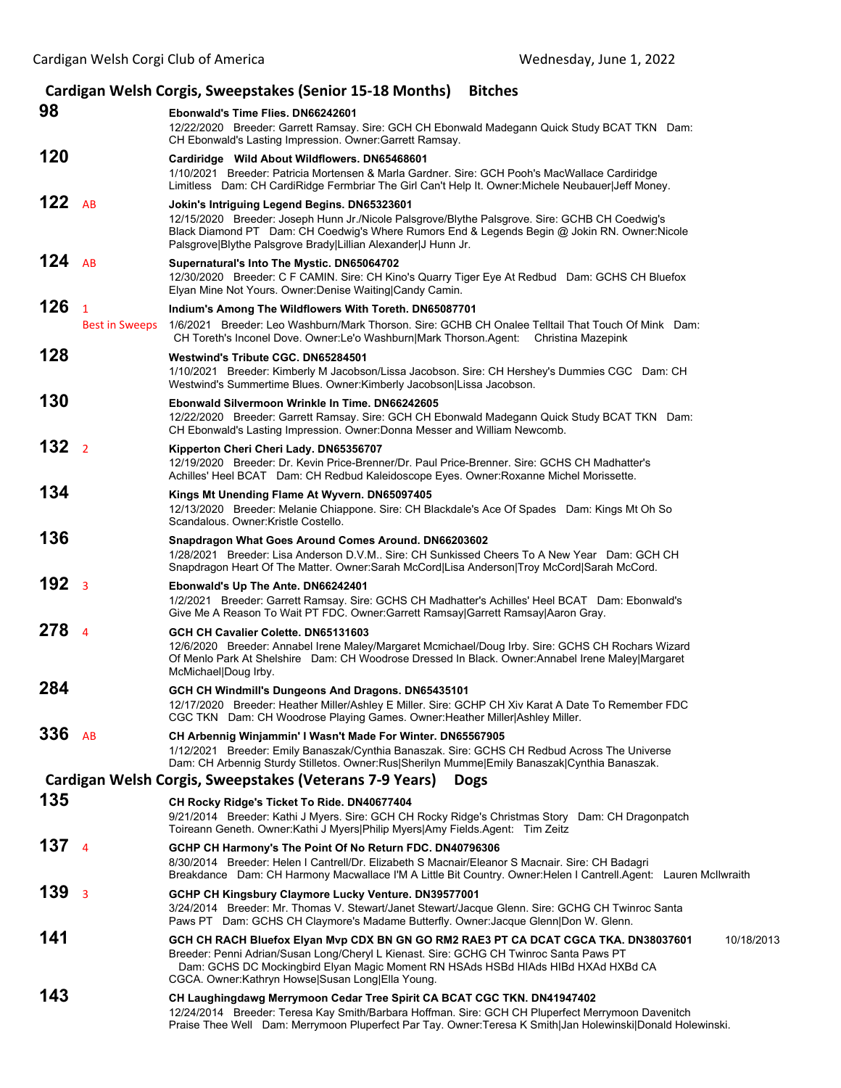|                  |                                         | Cardigan Welsh Corgis, Sweepstakes (Senior 15-18 Months) Bitches                                                                                                                                                                                                                                                                     |
|------------------|-----------------------------------------|--------------------------------------------------------------------------------------------------------------------------------------------------------------------------------------------------------------------------------------------------------------------------------------------------------------------------------------|
| 98               |                                         | Ebonwald's Time Flies. DN66242601<br>12/22/2020 Breeder: Garrett Ramsay. Sire: GCH CH Ebonwald Madegann Quick Study BCAT TKN Dam:<br>CH Ebonwald's Lasting Impression. Owner: Garrett Ramsay.                                                                                                                                        |
| 120              |                                         | Cardiridge Wild About Wildflowers. DN65468601<br>1/10/2021 Breeder: Patricia Mortensen & Marla Gardner. Sire: GCH Pooh's MacWallace Cardiridge<br>Limitless Dam: CH CardiRidge Fermbriar The Girl Can't Help It. Owner: Michele Neubauer Jeff Money.                                                                                 |
| 122 $AB$         |                                         | Jokin's Intriguing Legend Begins. DN65323601<br>12/15/2020 Breeder: Joseph Hunn Jr./Nicole Palsgrove/Blythe Palsgrove. Sire: GCHB CH Coedwig's<br>Black Diamond PT Dam: CH Coedwig's Where Rumors End & Legends Begin @ Jokin RN. Owner: Nicole<br>Palsgrove Blythe Palsgrove Brady Lillian Alexander J Hunn Jr.                     |
| 124 $AB$         |                                         | Supernatural's Into The Mystic. DN65064702<br>12/30/2020 Breeder: C F CAMIN. Sire: CH Kino's Quarry Tiger Eye At Redbud Dam: GCHS CH Bluefox<br>Elyan Mine Not Yours. Owner: Denise Waiting Candy Camin.                                                                                                                             |
| 126              | $\overline{1}$<br><b>Best in Sweeps</b> | Indium's Among The Wildflowers With Toreth. DN65087701<br>1/6/2021 Breeder: Leo Washburn/Mark Thorson. Sire: GCHB CH Onalee Telltail That Touch Of Mink Dam:<br>CH Toreth's Inconel Dove. Owner:Le'o Washburn Mark Thorson.Agent: Christina Mazepink                                                                                 |
| 128              |                                         | Westwind's Tribute CGC, DN65284501<br>1/10/2021 Breeder: Kimberly M Jacobson/Lissa Jacobson. Sire: CH Hershey's Dummies CGC Dam: CH<br>Westwind's Summertime Blues. Owner: Kimberly Jacobson Lissa Jacobson.                                                                                                                         |
| 130              |                                         | Ebonwald Silvermoon Wrinkle In Time. DN66242605<br>12/22/2020 Breeder: Garrett Ramsay. Sire: GCH CH Ebonwald Madegann Quick Study BCAT TKN Dam:<br>CH Ebonwald's Lasting Impression. Owner: Donna Messer and William Newcomb.                                                                                                        |
| 132 <sub>2</sub> |                                         | Kipperton Cheri Cheri Lady. DN65356707<br>12/19/2020 Breeder: Dr. Kevin Price-Brenner/Dr. Paul Price-Brenner. Sire: GCHS CH Madhatter's<br>Achilles' Heel BCAT Dam: CH Redbud Kaleidoscope Eyes. Owner: Roxanne Michel Morissette.                                                                                                   |
| 134              |                                         | Kings Mt Unending Flame At Wyvern. DN65097405<br>12/13/2020 Breeder: Melanie Chiappone. Sire: CH Blackdale's Ace Of Spades Dam: Kings Mt Oh So<br>Scandalous. Owner: Kristle Costello.                                                                                                                                               |
| 136              |                                         | Snapdragon What Goes Around Comes Around. DN66203602<br>1/28/2021 Breeder: Lisa Anderson D.V.M., Sire: CH Sunkissed Cheers To A New Year Dam: GCH CH<br>Snapdragon Heart Of The Matter. Owner:Sarah McCord Lisa Anderson Troy McCord Sarah McCord.                                                                                   |
| 192 <sub>3</sub> |                                         | Ebonwald's Up The Ante. DN66242401<br>1/2/2021 Breeder: Garrett Ramsay. Sire: GCHS CH Madhatter's Achilles' Heel BCAT Dam: Ebonwald's<br>Give Me A Reason To Wait PT FDC. Owner:Garrett Ramsay Garrett Ramsay Aaron Gray.                                                                                                            |
| 278 <sub>4</sub> |                                         | GCH CH Cavalier Colette. DN65131603<br>12/6/2020 Breeder: Annabel Irene Maley/Margaret Mcmichael/Doug Irby. Sire: GCHS CH Rochars Wizard<br>Of Menlo Park At Shelshire Dam: CH Woodrose Dressed In Black. Owner: Annabel Irene Maley Margaret<br>McMichael Doug Irby.                                                                |
| 284              |                                         | GCH CH Windmill's Dungeons And Dragons. DN65435101<br>12/17/2020 Breeder: Heather Miller/Ashley E Miller. Sire: GCHP CH Xiv Karat A Date To Remember FDC<br>CGC TKN Dam: CH Woodrose Playing Games. Owner: Heather Miller   Ashley Miller.                                                                                           |
| 336 AB           |                                         | CH Arbennig Winjammin' I Wasn't Made For Winter. DN65567905<br>1/12/2021 Breeder: Emily Banaszak/Cynthia Banaszak. Sire: GCHS CH Redbud Across The Universe<br>Dam: CH Arbennig Sturdy Stilletos. Owner:Rus Sherilyn Mumme Emily Banaszak Cynthia Banaszak.                                                                          |
|                  |                                         | Cardigan Welsh Corgis, Sweepstakes (Veterans 7-9 Years)<br><b>Dogs</b>                                                                                                                                                                                                                                                               |
| 135              |                                         | CH Rocky Ridge's Ticket To Ride. DN40677404<br>9/21/2014 Breeder: Kathi J Myers. Sire: GCH CH Rocky Ridge's Christmas Story Dam: CH Dragonpatch<br>Toireann Geneth. Owner: Kathi J Myers Philip Myers Amy Fields. Agent: Tim Zeitz                                                                                                   |
| 137 <sub>4</sub> |                                         | GCHP CH Harmony's The Point Of No Return FDC. DN40796306<br>8/30/2014 Breeder: Helen I Cantrell/Dr. Elizabeth S Macnair/Eleanor S Macnair. Sire: CH Badagri<br>Breakdance Dam: CH Harmony Macwallace I'M A Little Bit Country. Owner: Helen I Cantrell. Agent: Lauren McIlwraith                                                     |
| 139              | $\overline{\mathbf{3}}$                 | GCHP CH Kingsbury Claymore Lucky Venture. DN39577001<br>3/24/2014 Breeder: Mr. Thomas V. Stewart/Janet Stewart/Jacque Glenn. Sire: GCHG CH Twinroc Santa<br>Paws PT Dam: GCHS CH Claymore's Madame Butterfly. Owner: Jacque Glenn Don W. Glenn.                                                                                      |
| 141              |                                         | GCH CH RACH Bluefox Elyan Mvp CDX BN GN GO RM2 RAE3 PT CA DCAT CGCA TKA. DN38037601<br>10/18/2013<br>Breeder: Penni Adrian/Susan Long/Cheryl L Kienast. Sire: GCHG CH Twinroc Santa Paws PT<br>Dam: GCHS DC Mockingbird Elyan Magic Moment RN HSAds HSBd HIAds HIBd HXAd HXBd CA<br>CGCA. Owner:Kathryn Howse Susan Long Ella Young. |
| 143              |                                         | CH Laughingdawg Merrymoon Cedar Tree Spirit CA BCAT CGC TKN. DN41947402<br>12/24/2014 Breeder: Teresa Kay Smith/Barbara Hoffman. Sire: GCH CH Pluperfect Merrymoon Davenitch<br>Praise Thee Well Dam: Merrymoon Pluperfect Par Tay. Owner: Teresa K Smith Jan Holewinski Donald Holewinski.                                          |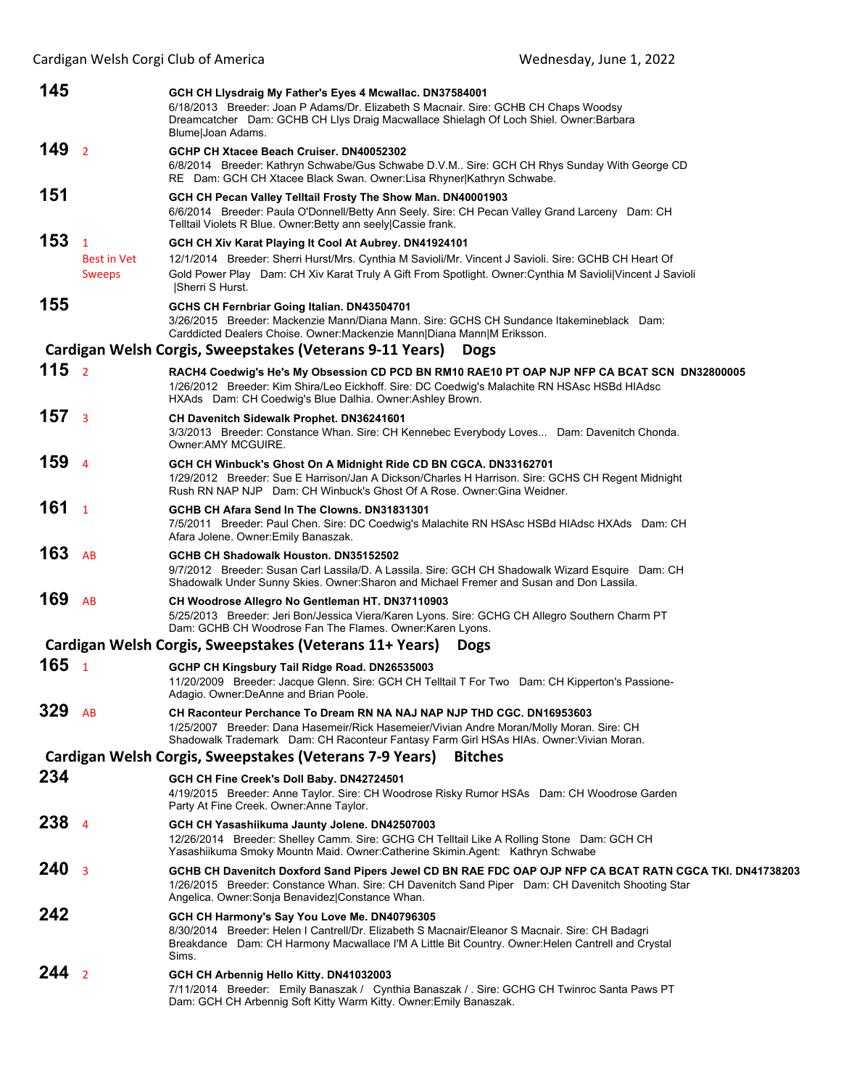| 145              |                                                     | GCH CH Llysdraig My Father's Eyes 4 Mcwallac. DN37584001<br>6/18/2013 Breeder: Joan P Adams/Dr. Elizabeth S Macnair. Sire: GCHB CH Chaps Woodsy<br>Dreamcatcher Dam: GCHB CH Llys Draig Macwallace Shielagh Of Loch Shiel. Owner: Barbara<br>Blume Joan Adams.                                  |
|------------------|-----------------------------------------------------|-------------------------------------------------------------------------------------------------------------------------------------------------------------------------------------------------------------------------------------------------------------------------------------------------|
| 149 <sub>2</sub> |                                                     | GCHP CH Xtacee Beach Cruiser, DN40052302<br>6/8/2014 Breeder: Kathryn Schwabe/Gus Schwabe D.V.M Sire: GCH CH Rhys Sunday With George CD<br>RE Dam: GCH CH Xtacee Black Swan. Owner:Lisa Rhyner Kathryn Schwabe.                                                                                 |
| 151              |                                                     | GCH CH Pecan Valley Telltail Frosty The Show Man. DN40001903<br>6/6/2014 Breeder: Paula O'Donnell/Betty Ann Seely. Sire: CH Pecan Valley Grand Larceny Dam: CH<br>Telltail Violets R Blue. Owner: Betty ann seely Cassie frank.                                                                 |
| 153              | $\mathbf{1}$<br><b>Best in Vet</b><br><b>Sweeps</b> | GCH CH Xiv Karat Playing It Cool At Aubrey. DN41924101<br>12/1/2014 Breeder: Sherri Hurst/Mrs. Cynthia M Savioli/Mr. Vincent J Savioli. Sire: GCHB CH Heart Of<br>Gold Power Play Dam: CH Xiv Karat Truly A Gift From Spotlight. Owner: Cynthia M Savioli Vincent J Savioli<br> Sherri S Hurst. |
| 155              |                                                     | GCHS CH Fernbriar Going Italian. DN43504701<br>3/26/2015 Breeder: Mackenzie Mann/Diana Mann. Sire: GCHS CH Sundance Itakemineblack Dam:<br>Carddicted Dealers Choise. Owner: Mackenzie Mann Diana Mann M Eriksson.                                                                              |
|                  |                                                     | Cardigan Welsh Corgis, Sweepstakes (Veterans 9-11 Years)<br><b>Dogs</b>                                                                                                                                                                                                                         |
| 115 <sub>2</sub> |                                                     | RACH4 Coedwig's He's My Obsession CD PCD BN RM10 RAE10 PT OAP NJP NFP CA BCAT SCN DN32800005<br>1/26/2012 Breeder: Kim Shira/Leo Eickhoff. Sire: DC Coedwig's Malachite RN HSAsc HSBd HIAdsc<br>HXAds Dam: CH Coedwig's Blue Dalhia. Owner: Ashley Brown.                                       |
| 157 <sub>3</sub> |                                                     | <b>CH Davenitch Sidewalk Prophet. DN36241601</b><br>3/3/2013 Breeder: Constance Whan. Sire: CH Kennebec Everybody Loves Dam: Davenitch Chonda.<br>Owner: AMY MCGUIRE.                                                                                                                           |
| 159 <sub>4</sub> |                                                     | GCH CH Winbuck's Ghost On A Midnight Ride CD BN CGCA. DN33162701<br>1/29/2012 Breeder: Sue E Harrison/Jan A Dickson/Charles H Harrison. Sire: GCHS CH Regent Midnight<br>Rush RN NAP NJP Dam: CH Winbuck's Ghost Of A Rose. Owner: Gina Weidner.                                                |
| 161 <sub>1</sub> |                                                     | GCHB CH Afara Send In The Clowns, DN31831301<br>7/5/2011 Breeder: Paul Chen. Sire: DC Coedwig's Malachite RN HSAsc HSBd HIAdsc HXAds Dam: CH<br>Afara Jolene. Owner: Emily Banaszak.                                                                                                            |
| 163              | AB                                                  | GCHB CH Shadowalk Houston. DN35152502<br>9/7/2012 Breeder: Susan Carl Lassila/D. A Lassila. Sire: GCH CH Shadowalk Wizard Esquire Dam: CH<br>Shadowalk Under Sunny Skies. Owner: Sharon and Michael Fremer and Susan and Don Lassila.                                                           |
| 169              | AB                                                  | CH Woodrose Allegro No Gentleman HT. DN37110903<br>5/25/2013 Breeder: Jeri Bon/Jessica Viera/Karen Lyons. Sire: GCHG CH Allegro Southern Charm PT<br>Dam: GCHB CH Woodrose Fan The Flames. Owner: Karen Lyons.                                                                                  |
|                  |                                                     | Cardigan Welsh Corgis, Sweepstakes (Veterans 11+ Years)<br><b>Dogs</b>                                                                                                                                                                                                                          |
| 165 <sub>1</sub> |                                                     | GCHP CH Kingsbury Tail Ridge Road. DN26535003<br>11/20/2009 Breeder: Jacque Glenn. Sire: GCH CH Telltail T For Two Dam: CH Kipperton's Passione-<br>Adagio. Owner: DeAnne and Brian Poole.                                                                                                      |
| 329 AB           |                                                     | CH Raconteur Perchance To Dream RN NA NAJ NAP NJP THD CGC. DN16953603<br>1/25/2007 Breeder: Dana Hasemeir/Rick Hasemeier/Vivian Andre Moran/Molly Moran. Sire: CH<br>Shadowalk Trademark Dam: CH Raconteur Fantasy Farm Girl HSAs HIAs. Owner: Vivian Moran.                                    |
|                  |                                                     | Cardigan Welsh Corgis, Sweepstakes (Veterans 7-9 Years)<br><b>Bitches</b>                                                                                                                                                                                                                       |
| 234              |                                                     | GCH CH Fine Creek's Doll Baby. DN42724501<br>4/19/2015 Breeder: Anne Taylor. Sire: CH Woodrose Risky Rumor HSAs Dam: CH Woodrose Garden<br>Party At Fine Creek. Owner: Anne Taylor.                                                                                                             |
| 238              | $\overline{a}$                                      | GCH CH Yasashiikuma Jaunty Jolene. DN42507003<br>12/26/2014 Breeder: Shelley Camm. Sire: GCHG CH Telltail Like A Rolling Stone Dam: GCH CH<br>Yasashiikuma Smoky Mountn Maid. Owner:Catherine Skimin.Agent: Kathryn Schwabe                                                                     |
| 240              | $\overline{3}$                                      | GCHB CH Davenitch Doxford Sand Pipers Jewel CD BN RAE FDC OAP OJP NFP CA BCAT RATN CGCA TKI. DN41738203<br>1/26/2015 Breeder: Constance Whan. Sire: CH Davenitch Sand Piper Dam: CH Davenitch Shooting Star<br>Angelica. Owner: Sonja Benavidez  Constance Whan.                                |
| 242              |                                                     | GCH CH Harmony's Say You Love Me. DN40796305<br>8/30/2014 Breeder: Helen I Cantrell/Dr. Elizabeth S Macnair/Eleanor S Macnair. Sire: CH Badagri<br>Breakdance Dam: CH Harmony Macwallace I'M A Little Bit Country. Owner: Helen Cantrell and Crystal<br>Sims.                                   |
| $244_{2}$        |                                                     | GCH CH Arbennig Hello Kitty. DN41032003<br>7/11/2014 Breeder: Emily Banaszak / Cynthia Banaszak / . Sire: GCHG CH Twinroc Santa Paws PT<br>Dam: GCH CH Arbennig Soft Kitty Warm Kitty. Owner: Emily Banaszak.                                                                                   |